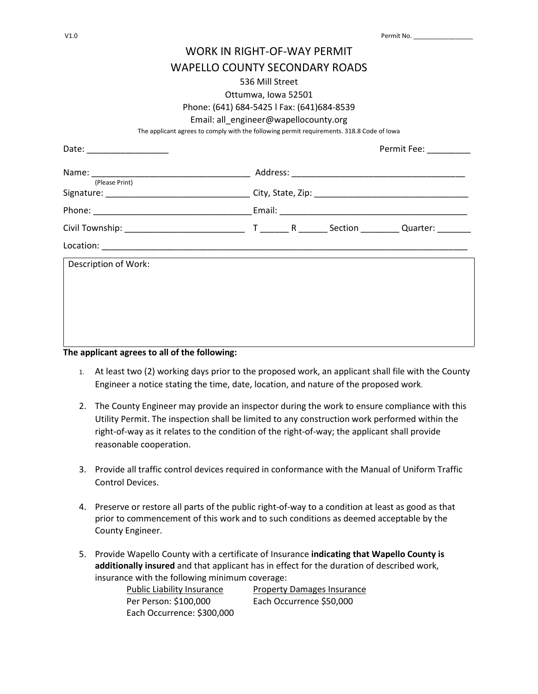| V1.0 | Permit No. |
|------|------------|
|      |            |

# WORK IN RIGHT-OF-WAY PERMIT

# WAPELLO COUNTY SECONDARY ROADS

#### 536 Mill Street

Ottumwa, Iowa 52501

## Phone: (641) 684-5425 l Fax: (641)684-8539

#### Email: all\_engineer@wapellocounty.org

The applicant agrees to comply with the following permit requirements. 318.8 Code of Iowa

|                      |  |  |  | Permit Fee: _________ |  |
|----------------------|--|--|--|-----------------------|--|
| (Please Print)       |  |  |  |                       |  |
|                      |  |  |  |                       |  |
|                      |  |  |  |                       |  |
|                      |  |  |  |                       |  |
|                      |  |  |  |                       |  |
| Description of Work: |  |  |  |                       |  |
|                      |  |  |  |                       |  |
|                      |  |  |  |                       |  |
|                      |  |  |  |                       |  |
|                      |  |  |  |                       |  |

## **The applicant agrees to all of the following:**

- 1. At least two (2) working days prior to the proposed work, an applicant shall file with the County Engineer a notice stating the time, date, location, and nature of the proposed work.
- 2. The County Engineer may provide an inspector during the work to ensure compliance with this Utility Permit. The inspection shall be limited to any construction work performed within the right-of-way as it relates to the condition of the right-of-way; the applicant shall provide reasonable cooperation.
- 3. Provide all traffic control devices required in conformance with the Manual of Uniform Traffic Control Devices.
- 4. Preserve or restore all parts of the public right-of-way to a condition at least as good as that prior to commencement of this work and to such conditions as deemed acceptable by the County Engineer.
- 5. Provide Wapello County with a certificate of Insurance **indicating that Wapello County is additionally insured** and that applicant has in effect for the duration of described work, insurance with the following minimum coverage:

Public Liability Insurance Property Damages Insurance Per Person: \$100,000 Each Occurrence \$50,000 Each Occurrence: \$300,000